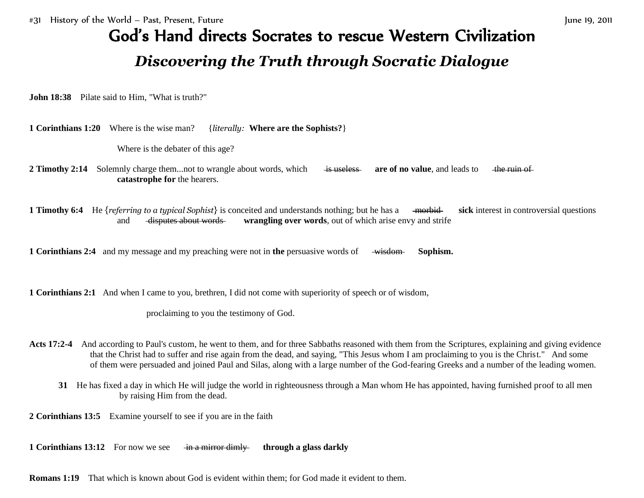## God's Hand directs Socrates to rescue Western Civilization *Discovering the Truth through Socratic Dialogue*

**John 18:38** Pilate said to Him, "What is truth?"

**1 Corinthians 1:20** Where is the wise man? {*literally:* **Where are the Sophists?**}

Where is the debater of this age?

- **2 Timothy 2:14** Solemnly charge them...not to wrangle about words, which is useless are of no value, and leads to the ruin of **catastrophe for** the hearers.
- **1 Timothy 6:4** He {*referring to a typical Sophist*} is conceited and understands nothing; but he has a mortobid sick interest in controversial questions and disputes about words **wrangling over words**, out of which arise envy and strife

**1 Corinthians 2:4** and my message and my preaching were not in the persuasive words of wisdom **Sophism.** 

**1 Corinthians 2:1** And when I came to you, brethren, I did not come with superiority of speech or of wisdom,

proclaiming to you the testimony of God.

- **Acts 17:2-4** And according to Paul's custom, he went to them, and for three Sabbaths reasoned with them from the Scriptures, explaining and giving evidence that the Christ had to suffer and rise again from the dead, and saying, "This Jesus whom I am proclaiming to you is the Christ." And some of them were persuaded and joined Paul and Silas, along with a large number of the God-fearing Greeks and a number of the leading women.
	- **31** He has fixed a day in which He will judge the world in righteousness through a Man whom He has appointed, having furnished proof to all men by raising Him from the dead.

**2 Corinthians 13:5** Examine yourself to see if you are in the faith

**1 Corinthians 13:12** For now we see in a mirror dimly through a glass darkly

**Romans 1:19** That which is known about God is evident within them; for God made it evident to them.